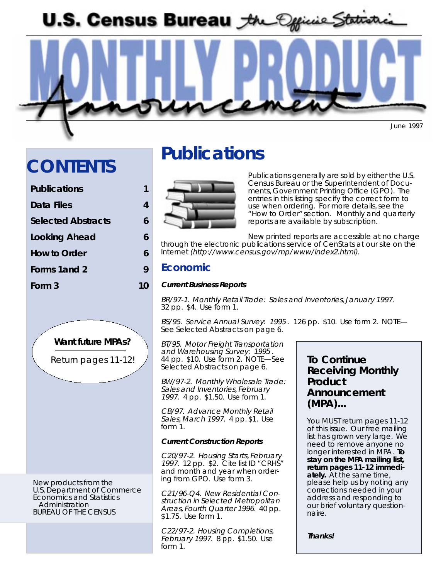**U.S. Census Bureau** *the Official Statist* 

June 1997

# **CONTENTS**

| <b>Publications</b> |   |
|---------------------|---|
| Data Files          | 4 |
| Selected Abstracts  | 6 |
| Looking Ahead       | 6 |
| <b>How to Order</b> | 6 |
| Forms 1 and 2       | Q |
| Form 3              |   |
|                     |   |



New products from the U.S. Department of Commerce Economics and Statistics Administration BUREAU OF THE CENSUS

# **Publications**



Publications generally are sold by either the U.S. Census Bureau or the Superintendent of Documents, Government Printing Office (GPO). The entries in this listing specify the correct form to use when ordering. For more details, see the "How to Order" section. Monthly and quarterly reports are available by subscription.

New printed reports are accessible at no charge through the electronic publications service of CenStats at our site on the Internet (http://www.census.gov/mp/www/index2.html).

## **Economic**

### **Current Business Reports**

BR/97-1. Monthly Retail Trade: Sales and Inventories, January 1997. 32 pp. \$4. Use form 1.

BS/95. Service Annual Survey: 1995 . 126 pp. \$10. Use form 2. NOTE— See Selected Abstracts on page 6.

BT/95. Motor Freight Transportation and Warehousing Survey: 1995 . 44 pp. \$10. Use form 2. NOTE—See Selected Abstracts on page 6.

BW/97-2. Monthly Wholesale Trade: Sales and Inventories, February 1997. 4 pp. \$1.50. Use form 1.

CB/97. Advance Monthly Retail Sales, March 1997. 4 pp. \$1. Use form 1.

### **Current Construction Reports**

C20/97-2. Housing Starts, February 1997. 12 pp. \$2. Cite list ID "CRHS" and month and year when ordering from GPO. Use form 3.

C21/96-Q4. New Residential Construction in Selected Metropolitan Areas, Fourth Quarter 1996. 40 pp. \$1.75. Use form 1.

C22/97-2. Housing Completions, February 1997. 8 pp. \$1.50. Use form 1.

# **To Continue Receiving Monthly Product Announcement (MPA)...**

You MUST return pages 11-12 of this issue. Our free mailing list has grown very large. We need to remove anyone no longer interested in MPA. **To stay on the MPA mailing list, return pages 11-12 immediately.** At the same time, please help us by noting any corrections needed in your address and responding to our brief voluntary questionnaire.

**Thanks!**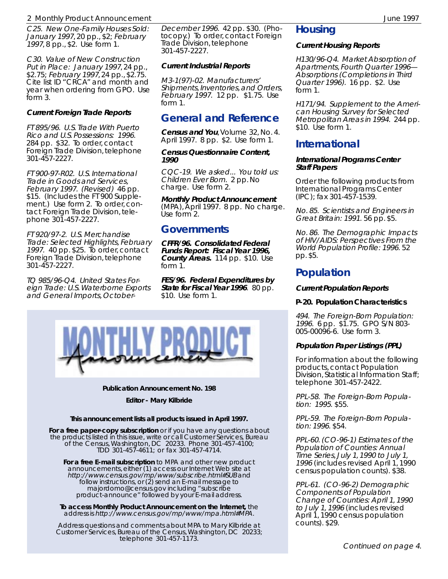### 2 Monthly Product Announcement June 1997

C25. New One-Family Houses Sold: January 1997, 20 pp., \$2; February 1997, 8 pp., \$2. Use form 1.

C30. Value of New Construction Put in Place: January 1997, 24 pp., \$2.75; February 1997, 24 pp., \$2.75. Cite list ID "CRCA" and month and year when ordering from GPO. Use form 3.

### **Current Foreign Trade Reports**

FT 895/96. U.S. Trade With Puerto Rico and U.S. Possessions: 1996. 284 pp. \$32. To order, contact Foreign Trade Division, telephone 301-457-2227.

FT 900-97-R02. U.S. International Trade in Goods and Services, February 1997. (Revised) 46 pp. \$15. (Includes the FT 900 Supplement.) Use form 2. To order, contact Foreign Trade Division, telephone 301-457-2227.

FT 920/97-2. U.S. Merchandise Trade: Selected Highlights, February 1997. 40 pp. \$25. To order, contact Foreign Trade Division, telephone 301-457-2227.

TQ 985/96-Q4. United States Foreign Trade: U.S. Waterborne Exports and General Imports, October-

December 1996. 42 pp. \$30. (Photocopy.) To order, contact Foreign Trade Division, telephone 301-457-2227.

### **Current Industrial Reports**

M3-1(97)-02. Manufacturers' Shipments, Inventories, and Orders, February 1997. 12 pp. \$1.75. Use form  $1$ 

# **General and Reference**

**Census and You**, Volume 32, No. 4. April 1997. 8 pp. \$2. Use form 1.

**Census Questionnaire Content, 1990**

CQC-19. We asked... You told us: Children Ever Born. 2 pp. No charge. Use form 2.

**Monthly Product Announcement** (MPA), April 1997. 8 pp. No charge. Use form 2.

### **Governments**

**CFFR/96. Consolidated Federal Funds Report: Fiscal Year 1996, County Areas.** 114 pp. \$10. Use form 1.

**FES/96. Federal Expenditures by State for Fiscal Year 1996**. 80 pp. \$10. Use form 1.



#### **Publication Announcement No. 198**

**Editor - Mary Kilbride**

#### **This announcement lists all products issued in April 1997.**

**For a free paper-copy subscription** or if you have any questions about the products listed in this issue, write or call Customer Services, Bureau of the Census, Washington, DC 20233. Phone 301-457-4100; TDD 301-457-4611; or fax 301-457-4714.

**For a free E-mail subscription** to MPA and other new product announcements, either (1) access our Internet Web site at http://www.census.gov/mp/www/subscribe.html#SUB and follow instructions, or (2) send an E-mail message to majordomo@census.gov including "subscribe product-announce" followed by your E-mail address.

**To access Monthly Product Announcement on the Internet,** the address is http://www.census.gov/mp/www/mpa.html#MPA.

Address questions and comments about MPA to Mary Kilbride at Customer Services, Bureau of the Census, Washington, DC 20233; telephone 301-457-1173.

### **Housing**

#### **Current Housing Reports**

H130/96-Q4. Market Absorption of Apartments, Fourth Quarter 1996— Absorptions (Completions in Third Quarter 1996). 16 pp. \$2. Use form 1.

H171/94. Supplement to the American Housing Survey for Selected Metropolitan Areas in 1994. 244 pp. \$10. Use form 1.

### **International**

#### **International Programs Center Staff Papers**

Order the following products from International Programs Center (IPC); fax 301-457-1539.

No. 85. Scientists and Engineers in Great Britain: 1991. 56 pp. \$5.

No. 86. The Demographic Impacts of HIV/AIDS: Perspectives From the World Population Profile: 1996. 52 pp. \$5.

# **Population**

#### **Current Population Reports**

#### **P-20. Population Characteristics**

494. The Foreign-Born Population: 1996. 6 pp. \$1.75. GPO S/N 803- 005-00096-6. Use form 3.

### **Population Paper Listings (PPL)**

For information about the following products, contact Population Division, Statistical Information Staff; telephone 301-457-2422.

PPL-58. The Foreign-Born Population: 1995. \$55.

PPL-59. The Foreign-Born Population: 1996. \$54.

PPL-60. (CO-96-1) Estimates of the Population of Counties: Annual Time Series, July 1, 1990 to July 1, 1996 (includes revised April 1, 1990 census population counts). \$38.

PPL-61. (CO-96-2) Demographic Components of Population Change of Counties: April 1, 1990 to July 1, 1996 (includes revised April 1, 1990 census population counts). \$29.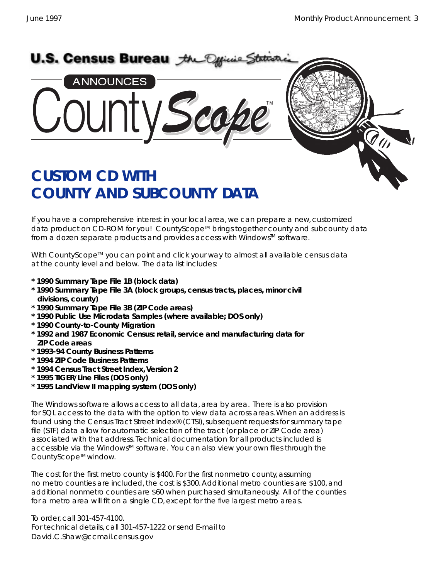

If you have a comprehensive interest in your local area, we can prepare a new, customized data product on CD-ROM for you! CountyScope™ brings together county and subcounty data from a dozen separate products and provides access with Windows<sup>TM</sup> software.

With CountyScope<sup>™</sup> you can point and click your way to almost all available census data at the county level and below. The data list includes:

- **\* 1990 Summary Tape File 1B (block data)**
- **\* 1990 Summary Tape File 3A (block groups, census tracts, places, minor civil divisions, county)**
- **\* 1990 Summary Tape File 3B (ZIP Code areas)**
- **\* 1990 Public Use Microdata Samples (where available; DOS only)**
- **\* 1990 County-to-County Migration**
- **\* 1992 and 1987 Economic Census: retail, service and manufacturing data for ZIP Code areas**
- **\* 1993-94 County Business Patterns**
- **\* 1994 ZIP Code Business Patterns**
- **\* 1994 Census Tract Street Index, Version 2**
- **\* 1995 TIGER/Line Files (DOS only)**
- **\* 1995 LandView II mapping system (DOS only)**

The Windows software allows access to all data, area by area. There is also provision for SQL access to the data with the option to view data across areas. When an address is found using the Census Tract Street Index® (CTSI), subsequent requests for summary tape file (STF) data allow for automatic selection of the tract (or place or ZIP Code area) associated with that address. Technical documentation for all products included is accessible via the Windows<sup>™</sup> software. You can also view your own files through the CountyScope<sup>™</sup> window.

The cost for the first metro county is \$400. For the first nonmetro county, assuming no metro counties are included, the cost is \$300. Additional metro counties are \$100, and additional nonmetro counties are \$60 when purchased simultaneously. All of the counties for a metro area will fit on a single CD, except for the five largest metro areas.

To order, call 301-457-4100. For technical details, call 301-457-1222 or send E-mail to David.C.Shaw@ccmail.census.gov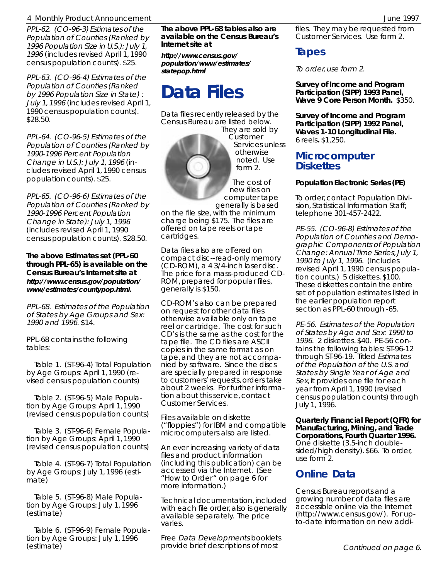### 4 Monthly Product Announcement June 1997

PPL-62. (CO-96-3) Estimates of the Population of Counties (Ranked by 1996 Population Size in U.S.): July 1, 1996 (includes revised April 1, 1990 census population counts). \$25.

PPL-63. (CO-96-4) Estimates of the Population of Counties (Ranked by 1996 Population Size in State) : July 1, 1996 (includes revised April 1, 1990 census population counts). \$28.50.

PPL-64. (CO-96-5) Estimates of the Population of Counties (Ranked by 1990-1996 Percent Population Change in U.S.): July 1, 1996 (includes revised April 1, 1990 census population counts). \$25.

PPL-65. (CO-96-6) Estimates of the Population of Counties (Ranked by 1990-1996 Percent Population Change in State): July 1, 1996 (includes revised April 1, 1990 census population counts). \$28.50.

**The above Estimates set (PPL-60 through PPL-65) is available on the Census Bureau's Internet site at http://www.census.gov/population/ www/estimates/countypop.html.**

PPL-68. Estimates of the Population of States by Age Groups and Sex: 1990 and 1996. \$14.

PPL-68 contains the following tables:

 Table 1. (ST-96-4) Total Population by Age Groups: April 1, 1990 (revised census population counts)

 Table 2. (ST-96-5) Male Population by Age Groups: April 1, 1990 (revised census population counts)

 Table 3. (ST-96-6) Female Population by Age Groups: April 1, 1990 (revised census population counts)

 Table 4. (ST-96-7) Total Population by Age Groups: July 1, 1996 (estimate)

 Table 5. (ST-96-8) Male Population by Age Groups: July 1, 1996 (estimate)

 Table 6. (ST-96-9) Female Population by Age Groups: July 1, 1996 (estimate)

**The above PPL-68 tables also are available on the Census Bureau's Internet site at**

**http://www.census.gov/ population/www/estimates/ statepop.html**

# **Data Files**

Data files recently released by the Census Bureau are listed below.

They are sold by Customer Services unless otherwise noted. Use form 2.

The cost of new files on computer tape generally is based

on the file size, with the minimum charge being \$175. The files are offered on tape reels or tape cartridges.

Data files also are offered on compact disc--read-only memory (CD-ROM), a 4 3/4-inch laser disc. The price for a mass-produced CD-ROM, prepared for popular files, generally is \$150.

CD-ROM's also can be prepared on request for other data files otherwise available only on tape reel or cartridge. The cost for such CD's is the same as the cost for the tape file. The CD files are ASCII copies in the same format as on tape, and they are not accompanied by software. Since the discs are specially prepared in response to customers' requests, orders take about 2 weeks. For further information about this service, contact Customer Services.

Files available on diskette ("floppies") for IBM and compatible microcomputers also are listed.

An ever increasing variety of data files and product information (including this publication) can be accessed via the Internet. (See "How to Order " on page 6 for more information.)

Technical documentation, included with each file order, also is generally available separately. The price varies.

Free Data Developments booklets provide brief descriptions of most

files. They may be requested from Customer Services. Use form 2.

## **Tapes**

To order, use form 2.

**Survey of Income and Program Participation (SIPP) 1993 Panel, Wave 9 Core Person Month.** \$350.

**Survey of Income and Program Participation (SIPP) 1992 Panel, Waves 1-10 Longitudinal File.** 6 reels**.** \$1,250.

### **Microcomputer Diskettes**

#### **Population Electronic Series (PE)**

To order, contact Population Division, Statistical Information Staff; telephone 301-457-2422.

PE-55. (CO-96-8) Estimates of the Population of Counties and Demographic Components of Population Change: Annual Time Series, July 1, 1990 to July 1, 1996. (Includes revised April 1, 1990 census population counts.) 5 diskettes. \$100. These diskettes contain the entire set of population estimates listed in the earlier population report section as PPL-60 through -65.

PE-56. Estimates of the Population of States by Age and Sex: 1990 to 1996. 2 diskettes. \$40. PE-56 contains the following tables: ST-96-12 through ST-96-19. Titled Estimates of the Population of the U.S. and States by Single Year of Age and Sex, it provides one file for each year from April 1, 1990 (revised census population counts) through July 1, 1996.

**Quarterly Financial Report (QFR) for Manufacturing, Mining, and Trade Corporations, Fourth Quarter 1996.** One diskette (3.5-inch doublesided/high density). \$66. To order, use form 2.

### **Online Data**

Census Bureau reports and a growing number of data files are accessible online via the Internet (http://www.census.gov/). For upto-date information on new addi-



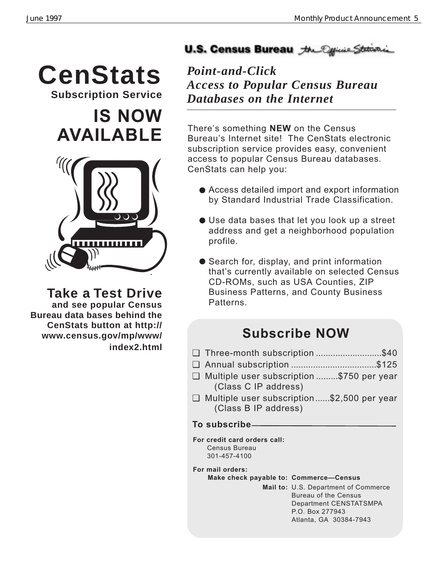# **CenStats** *Point-and-Click*

**Subscription Service**

**IS NOW AVAILABLE**



**Take a Test Drive and see popular Census Bureau data bases behind the CenStats button at http:// www.census.gov/mp/www/ index2.html**

# U.S. Census Bureau the Official State

*Access to Popular Census Bureau Databases on the Internet*

There's something **NEW** on the Census Bureau's Internet site! The CenStats electronic subscription service provides easy, convenient access to popular Census Bureau databases. CenStats can help you:

- Access detailed import and export information by Standard Industrial Trade Classification.
- Use data bases that let you look up a street address and get a neighborhood population profile.
- Search for, display, and print information that's currently available on selected Census CD-ROMs, such as USA Counties, ZIP Business Patterns, and County Business Patterns.

# **Subscribe NOW**

- ❏ Three-month subscription ...........................\$40
- ❏ Annual subscription ...................................\$125
- ❏ Multiple user subscription .........\$750 per year (Class C IP address)
- ❏ Multiple user subscription......\$2,500 per year (Class B IP address)

# **To subscribe**

**For credit card orders call:** Census Bureau 301-457-4100

**For mail orders:**

### **Make check payable to: Commerce-Census**

**Mail to:** U.S. Department of Commerce Bureau of the Census Department CENSTATSMPA P.O. Box 277943 Atlanta, GA 30384-7943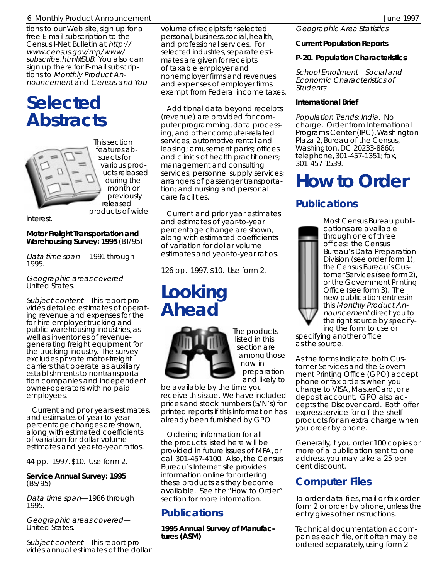### 6 Monthly Product Announcement June 1997

tions to our Web site, sign up for a free E-mail subscription to the Census I-Net Bulletin at http:// www.census.gov/mp/www/ subscribe.html#SUB. You also can sign up there for E-mail subscriptions to Monthly Product Announcement and Census and You.

# **Selected Abstracts**



This section features abstracts for various products released during the month or previously released products of wide

interest.

### **Motor Freight Transportation and Warehousing Survey: 1995** (BT/95)

Data time span-—1991 through 1995.

Geographic areas covered-— United States.

Subject content—This report provides detailed estimates of operating revenue and expenses for the for-hire employer trucking and public warehousing industries, as well as inventories of revenuegenerating freight equipment for the trucking industry. The survey excludes private motor-freight carriers that operate as auxiliary establishments to nontransportation companies and independent owner-operators with no paid employees.

 Current and prior years estimates, and estimates of year-to-year percentage changes are shown, along with estimated coefficients of variation for dollar volume estimates and year-to-year ratios.

44 pp. 1997. \$10. Use form 2.

**Service Annual Survey: 1995** (BS/95)

Data time span—1986 through 1995.

Geographic areas covered— United States.

Subject content—This report provides annual estimates of the dollar volume of receipts for selected personal, business, social, health, and professional services. For selected industries, separate estimates are given for receipts of taxable employer and nonemployer firms and revenues and expenses of employer firms exempt from Federal income taxes.

 Additional data beyond receipts (revenue) are provided for computer programming, data processing, and other computer-related services; automotive rental and leasing; amusement parks; offices and clinics of health practitioners; management and consulting services; personnel supply services; arrangers of passenger transportation; and nursing and personal care facilities.

 Current and prior year estimates and estimates of year-to-year percentage change are shown, along with estimated coefficients of variation for dollar volume estimates and year-to-year ratios.

126 pp. 1997. \$10. Use form 2.

# **Looking Ahead**



The products listed in this section are among those now in preparation and likely to

be available by the time you receive this issue. We have included prices and stock numbers (S/N's) for printed reports if this information has already been furnished by GPO.

 Ordering information for all the products listed here will be provided in future issues of MPA, or call 301-457-4100. Also, the Census Bureau's Internet site provides information online for ordering these products as they become available. See the "How to Order" section for more information.

# **Publications**

**1995 Annual Survey of Manufactures (ASM)**

Geographic Area Statistics

### **Current Population Reports**

### **P-20. Population Characteristics**

School Enrollment—Social and Economic Characteristics of **Students** 

### **International Brief**

Population Trends: India. No charge. Order from International Programs Center (IPC), Washington Plaza 2, Bureau of the Census, Washington, DC 20233-8860; telephone, 301-457-1351; fax, 301-457-1539.

# **How to Order**

# **Publications**



Most Census Bureau publications are available through one of three offices: the Census Bureau's Data Preparation Division (see order form 1), the Census Bureau's Customer Services (see form 2), or the Government Printing Office (see form 3). The new publication entries in this Monthly Product Announcement direct you to the right source by specifying the form to use or

specifying another office as the source.

As the forms indicate, both Customer Services and the Government Printing Office (GPO) accept phone or fax orders when you charge to VISA, MasterCard, or a deposit account. GPO also accepts the Discover card. Both offer express service for off-the-shelf products for an extra charge when you order by phone.

Generally, if you order 100 copies or more of a publication sent to one address, you may take a 25-percent discount.

# **Computer Files**

To order data files, mail or fax order form 2 or order by phone, unless the entry gives other instructions.

Technical documentation accompanies each file, or it often may be ordered separately, using form 2.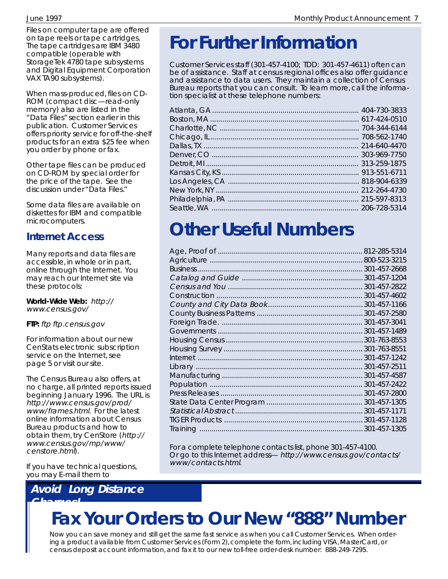Files on computer tape are offered on tape reels or tape cartridges. The tape cartridges are IBM 3480 compatible (operable with StorageTek 4780 tape subsystems and Digital Equipment Corporation VAX TA90 subsystems).

When mass-produced, files on CD-ROM (compact disc—read-only memory) also are listed in the "Data Files" section earlier in this publication. Customer Services offers priority service for off-the-shelf products for an extra \$25 fee when you order by phone or fax.

Other tape files can be produced on CD-ROM by special order for the price of the tape. See the discussion under "Data Files."

Some data files are available on diskettes for IBM and compatible microcomputers.

# **Internet Access**

Many reports and data files are accessible, in whole or in part, online through the Internet. You may reach our Internet site via these protocols:

**World-Wide Web:** http:// www.census.gov/

**FTP:** ftp ftp.census.gov

For information about our new CenStats electronic subscription service on the Internet, see page 5 or visit our site.

The Census Bureau also offers, at no charge, all printed reports issued beginning January 1996. The URL is http://www.census.gov/prod/ www/frames.html. For the latest online information about Census Bureau products and how to obtain them, try CenStore (http:// www.census.gov/mp/www/ censtore.html).

If you have technical questions, you may E-mail them to

# **Avoid Long Distance**

# **For Further Information**

Customer Services staff (301-457-4100; TDD: 301-457-4611) often can be of assistance. Staff at census regional offices also offer guidance and assistance to data users. They maintain a collection of Census Bureau reports that you can consult. To learn more, call the information specialist at these telephone numbers:

# **Other Useful Numbers**

| 800-523-3215 |
|--------------|
| 301-457-2668 |
| 301-457-1204 |
| 301-457-2822 |
| 301-457-4602 |
| 301-457-1166 |
| 301-457-2580 |
| 301-457-3041 |
| 301-457-1489 |
| 301-763-8553 |
| 301-763-8551 |
| 301-457-1242 |
| 301-457-2511 |
| 301-457-4587 |
| 301-457-2422 |
| 301-457-2800 |
| 301-457-1305 |
| 301-457-1171 |
| 301-457-1128 |
| 301-457-1305 |

For a complete telephone contacts list, phone 301-457-4100. Or go to this Internet address— http://www.census.gov/contacts/ www/contacts.html.

# **Charges! Fax Your Orders to Our New "888" Number**

Now you can save money and still get the same fast service as when you call Customer Services. When ordering a product available from Customer Services (Form 2), complete the form, including VISA, MasterCard, or census deposit account information, and fax it to our new toll-free order-desk number: 888-249-7295.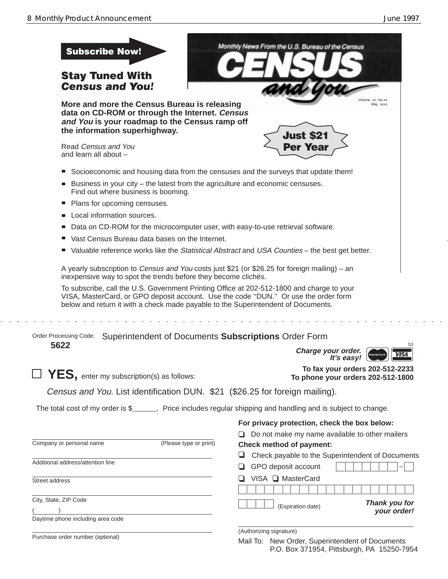$\mathbb{Z}^{\mathbb{Z}}$  and

P.O. Box 371954, Pittsburgh, PA 15250-7954

| <b>Subscribe Now!</b><br><b>Stay Tuned With</b><br><b>Census and You!</b>                                                                                                                                                                                             | Monthly News From the U.S. Bureau of the Census                                                |
|-----------------------------------------------------------------------------------------------------------------------------------------------------------------------------------------------------------------------------------------------------------------------|------------------------------------------------------------------------------------------------|
| More and more the Census Bureau is releasing<br>data on CD-ROM or through the Internet. Census<br>and You is your roadmap to the Census ramp off<br>the information superhighway.                                                                                     | Volume xx. No.xx<br>May xxxx<br><b>Just \$21</b>                                               |
| Read Census and You<br>and learn all about -                                                                                                                                                                                                                          | <b>Per Year</b>                                                                                |
| Socioeconomic and housing data from the censuses and the surveys that update them!                                                                                                                                                                                    |                                                                                                |
| Business in your city – the latest from the agriculture and economic censuses.<br>$\blacksquare$<br>Find out where business is booming.                                                                                                                               |                                                                                                |
| Plans for upcoming censuses.<br>ш                                                                                                                                                                                                                                     |                                                                                                |
| Local information sources.                                                                                                                                                                                                                                            |                                                                                                |
| Data on CD-ROM for the microcomputer user, with easy-to-use retrieval software.                                                                                                                                                                                       |                                                                                                |
| Vast Census Bureau data bases on the Internet.                                                                                                                                                                                                                        |                                                                                                |
|                                                                                                                                                                                                                                                                       | Valuable reference works like the Statistical Abstract and USA Counties - the best get better. |
| A yearly subscription to Census and You costs just \$21 (or \$26.25 for foreign mailing) – an<br>inexpensive way to spot the trends before they become clichés.                                                                                                       |                                                                                                |
| To subscribe, call the U.S. Government Printing Office at 202-512-1800 and charge to your<br>VISA, MasterCard, or GPO deposit account. Use the code "DUN." Or use the order form<br>below and return it with a check made payable to the Superintendent of Documents. |                                                                                                |
| Order Processing Code:<br>Superintendent of Documents Subscriptions Order Form                                                                                                                                                                                        |                                                                                                |
| 5622                                                                                                                                                                                                                                                                  | S <sub>3</sub><br>Charge your order.<br><b>VISA</b><br>MasterCard<br>It's easy!                |
| $\mathbf{YES}_{\mathbf{I}}$ enter my subscription(s) as follows:                                                                                                                                                                                                      | To fax your orders 202-512-2233<br>To phone your orders 202-512-1800                           |
| Census and You. List identification DUN. \$21 (\$26.25 for foreign mailing).                                                                                                                                                                                          |                                                                                                |
| The total cost of my order is \$_______. Price includes regular shipping and handling and is subject to change.                                                                                                                                                       |                                                                                                |
|                                                                                                                                                                                                                                                                       | For privacy protection, check the box below:<br>Do not make my name available to other mailers |
| Company or personal name<br>(Please type or print)                                                                                                                                                                                                                    | <b>Check method of payment:</b>                                                                |
| Additional address/attention line                                                                                                                                                                                                                                     | Check payable to the Superintendent of Documents<br>GPO deposit account<br>ப                   |
| Street address                                                                                                                                                                                                                                                        | VISA □ MasterCard<br>⊔                                                                         |
| City, State, ZIP Code                                                                                                                                                                                                                                                 |                                                                                                |
|                                                                                                                                                                                                                                                                       | Thank you for<br>(Expiration date)<br>your order!                                              |
| Daytime phone including area code                                                                                                                                                                                                                                     |                                                                                                |
| Purchase order number (optional)                                                                                                                                                                                                                                      | (Authorizing signature)<br>Mail To: New Order, Superintendent of Documents                     |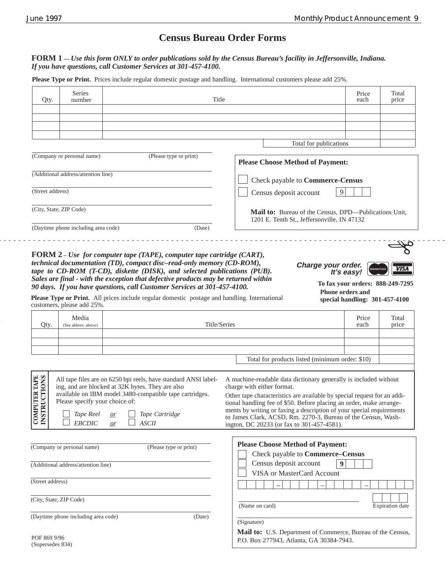. . . . .

# **Census Bureau Order Forms**

#### **FORM 1 —** *Use this form ONLY to order publications sold by the Census Bureau's facility in Jeffersonville, Indiana. If you have questions, call Customer Services at 301-457-4100.*

**Please Type or Print.** Prices include regular domestic postage and handling. International customers please add 25%.

| Qty.                                      | Series<br>number                                                    | Title                                                                                                                                                                                                                                                                                                                                                                                                                |                                                                                                                                                                                                                                                                                                                                                                                                                                           | Price<br>each                                                                         | Total<br>price                                  |
|-------------------------------------------|---------------------------------------------------------------------|----------------------------------------------------------------------------------------------------------------------------------------------------------------------------------------------------------------------------------------------------------------------------------------------------------------------------------------------------------------------------------------------------------------------|-------------------------------------------------------------------------------------------------------------------------------------------------------------------------------------------------------------------------------------------------------------------------------------------------------------------------------------------------------------------------------------------------------------------------------------------|---------------------------------------------------------------------------------------|-------------------------------------------------|
|                                           |                                                                     |                                                                                                                                                                                                                                                                                                                                                                                                                      |                                                                                                                                                                                                                                                                                                                                                                                                                                           |                                                                                       |                                                 |
|                                           |                                                                     |                                                                                                                                                                                                                                                                                                                                                                                                                      |                                                                                                                                                                                                                                                                                                                                                                                                                                           |                                                                                       |                                                 |
|                                           |                                                                     |                                                                                                                                                                                                                                                                                                                                                                                                                      | Total for publications                                                                                                                                                                                                                                                                                                                                                                                                                    |                                                                                       |                                                 |
|                                           | (Company or personal name)                                          | (Please type or print)                                                                                                                                                                                                                                                                                                                                                                                               | <b>Please Choose Method of Payment:</b>                                                                                                                                                                                                                                                                                                                                                                                                   |                                                                                       |                                                 |
|                                           | (Additional address/attention line)                                 |                                                                                                                                                                                                                                                                                                                                                                                                                      | Check payable to Commerce-Census                                                                                                                                                                                                                                                                                                                                                                                                          |                                                                                       |                                                 |
| (Street address)                          |                                                                     |                                                                                                                                                                                                                                                                                                                                                                                                                      | 9<br>Census deposit account                                                                                                                                                                                                                                                                                                                                                                                                               |                                                                                       |                                                 |
| (City, State, ZIP Code)                   |                                                                     |                                                                                                                                                                                                                                                                                                                                                                                                                      | Mail to: Bureau of the Census, DPD—Publications Unit,<br>1201 E. Tenth St., Jeffersonville, IN 47132                                                                                                                                                                                                                                                                                                                                      |                                                                                       |                                                 |
|                                           | (Daytime phone including area code)                                 | (Date)                                                                                                                                                                                                                                                                                                                                                                                                               |                                                                                                                                                                                                                                                                                                                                                                                                                                           |                                                                                       |                                                 |
|                                           | customers, please add 25%.                                          | technical documentation (TD), compact disc-read-only memory (CD-ROM),<br>tape to CD-ROM (T-CD), diskette (DISK), and selected publications (PUB).<br>Sales are final - with the exception that defective products may be returned within<br>90 days. If you have questions, call Customer Services at 301-457-4100.<br>Please Type or Print. All prices include regular domestic postage and handling. International | Charge your order.                                                                                                                                                                                                                                                                                                                                                                                                                        | MasterCard<br>It's easy!<br><b>Phone orders and</b><br>special handling: 301-457-4100 | <b>VISA</b><br>To fax your orders: 888-249-7295 |
| Qty.                                      | Media<br>(See abbrev. above)                                        |                                                                                                                                                                                                                                                                                                                                                                                                                      | Title/Series                                                                                                                                                                                                                                                                                                                                                                                                                              | Price<br>each                                                                         | Total<br>price                                  |
|                                           |                                                                     |                                                                                                                                                                                                                                                                                                                                                                                                                      |                                                                                                                                                                                                                                                                                                                                                                                                                                           |                                                                                       |                                                 |
|                                           |                                                                     |                                                                                                                                                                                                                                                                                                                                                                                                                      | Total for products listed (minimum order: \$10)                                                                                                                                                                                                                                                                                                                                                                                           |                                                                                       |                                                 |
| <b>OMPUTER TAPE<br/>STRUCTIONS</b><br>ິປິ | Please specify your choice of:<br><i>Tape Reel</i><br><b>EBCDIC</b> | All tape files are on 6250 bpi reels, have standard ANSI label-<br>ing, and are blocked at 32K bytes. They are also<br>available on IBM model 3480-compatible tape cartridges.<br>Tape Cartridge<br><i>or</i><br>ASCII<br>or                                                                                                                                                                                         | A machine-readable data dictionary generally is included without<br>charge with either format.<br>Other tape characteristics are available by special request for an addi-<br>tional handling fee of \$50. Before placing an order, make arrange-<br>ments by writing or faxing a description of your special requirements<br>to James Clark, ACSD, Rm. 2270-3, Bureau of the Census, Wash-<br>ington, DC 20233 (or fax to 301-457-4581). |                                                                                       |                                                 |
|                                           | (Company or personal name)                                          | (Please type or print)                                                                                                                                                                                                                                                                                                                                                                                               | <b>Please Choose Method of Payment:</b><br>Check payable to Commerce-Census                                                                                                                                                                                                                                                                                                                                                               |                                                                                       |                                                 |
|                                           | (Additional address/attention line)                                 |                                                                                                                                                                                                                                                                                                                                                                                                                      | Census deposit account<br>9<br>VISA or MasterCard Account                                                                                                                                                                                                                                                                                                                                                                                 |                                                                                       |                                                 |
| (Street address)                          |                                                                     |                                                                                                                                                                                                                                                                                                                                                                                                                      |                                                                                                                                                                                                                                                                                                                                                                                                                                           |                                                                                       |                                                 |
| (City, State, ZIP Code)                   |                                                                     |                                                                                                                                                                                                                                                                                                                                                                                                                      | (Name on card)                                                                                                                                                                                                                                                                                                                                                                                                                            |                                                                                       | <b>Expiration</b> date                          |
|                                           | (Daytime phone including area code)                                 | (Date)                                                                                                                                                                                                                                                                                                                                                                                                               | (Signature)                                                                                                                                                                                                                                                                                                                                                                                                                               |                                                                                       |                                                 |
| POF 869 9/96<br>(Supersedes 834)          |                                                                     |                                                                                                                                                                                                                                                                                                                                                                                                                      | Mail to: U.S. Department of Commerce, Bureau of the Census,<br>P.O. Box 277943, Atlanta, GA 30384-7943.                                                                                                                                                                                                                                                                                                                                   |                                                                                       |                                                 |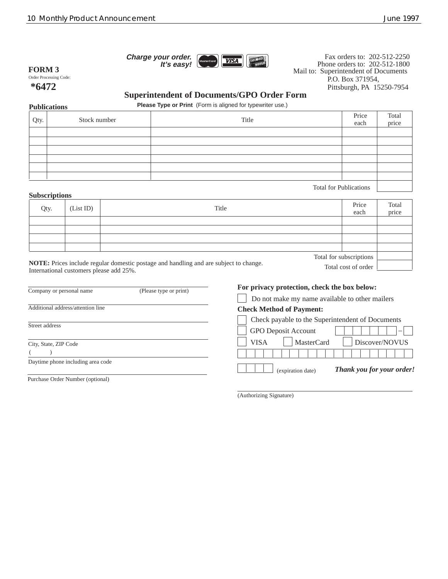**Charge your order.**



Mail to: Superintendent of Documents P.O. Box 371954, Pittsburgh, PA 15250-7954 Fax orders to: 202-512-2250 Phone orders to: 202-512-1800

Total cost of order

Order Processing Code: **\*6472 FORM 3**

### **Superintendent of Documents/GPO Order Form**

**Publications Please Type or Print** (Form is aligned for typewriter use.)

| Qty. | Stock number | Title                         | Price<br>each | Total<br>price |
|------|--------------|-------------------------------|---------------|----------------|
|      |              |                               |               |                |
|      |              |                               |               |                |
|      |              |                               |               |                |
|      |              |                               |               |                |
|      |              |                               |               |                |
|      |              |                               |               |                |
|      |              | <b>Total for Publications</b> |               |                |

### **Subscriptions**

| Qty. | (List ID) | Title                                                                                                           | Price<br>each           | Total<br>price |
|------|-----------|-----------------------------------------------------------------------------------------------------------------|-------------------------|----------------|
|      |           |                                                                                                                 |                         |                |
|      |           |                                                                                                                 |                         |                |
|      |           |                                                                                                                 |                         |                |
|      |           |                                                                                                                 |                         |                |
|      |           |                                                                                                                 | Total for subscriptions |                |
|      |           | the contract of the contract of the contract of the contract of the contract of the contract of the contract of |                         |                |

**NOTE:** Prices include regular domestic postage and handling and are subject to change. International customers please add 25%.

| (Please type or print)<br>Company or personal name |  | For privacy protection, check the box below:<br>Do not make my name available to other mailers |  |  |
|----------------------------------------------------|--|------------------------------------------------------------------------------------------------|--|--|
|                                                    |  |                                                                                                |  |  |
|                                                    |  | Check payable to the Superintendent of Documents                                               |  |  |
| Street address                                     |  | <b>GPO</b> Deposit Account<br>-                                                                |  |  |
| City, State, ZIP Code                              |  | <b>MasterCard</b><br>Discover/NOVUS<br><b>VISA</b>                                             |  |  |
|                                                    |  |                                                                                                |  |  |
| Daytime phone including area code                  |  | <b>Thank you for your order!</b><br>(expiration date)                                          |  |  |
| Purchase Order Number (optional)                   |  |                                                                                                |  |  |

(Authorizing Signature)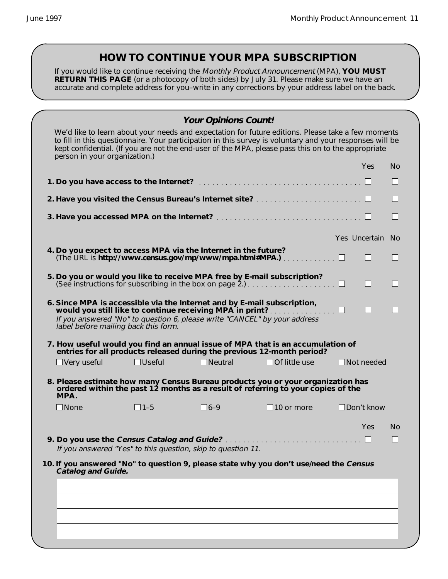# **HOW TO CONTINUE YOUR MPA SUBSCRIPTION**

If you would like to continue receiving the Monthly Product Announcement (MPA), **YOU MUST RETURN THIS PAGE** (or a photocopy of both sides) by July 31. Please make sure we have an accurate and complete address for you–write in any corrections by your address label on the back.

| We'd like to learn about your needs and expectation for future editions. Please take a few moments       |            |     |
|----------------------------------------------------------------------------------------------------------|------------|-----|
| to fill in this questionnaire. Your participation in this survey is voluntary and your responses will be |            |     |
| kept confidential. (If you are not the end-user of the MPA, please pass this on to the appropriate       |            |     |
| person in your organization.)                                                                            |            |     |
|                                                                                                          | <b>Yes</b> | No. |

|                           |                                                                |                |                                                                                                                                                                                                                         |  |                  | H                        |
|---------------------------|----------------------------------------------------------------|----------------|-------------------------------------------------------------------------------------------------------------------------------------------------------------------------------------------------------------------------|--|------------------|--------------------------|
|                           |                                                                |                |                                                                                                                                                                                                                         |  |                  |                          |
|                           |                                                                |                |                                                                                                                                                                                                                         |  |                  | H                        |
|                           |                                                                |                |                                                                                                                                                                                                                         |  | Yes Uncertain No |                          |
|                           | 4. Do you expect to access MPA via the Internet in the future? |                |                                                                                                                                                                                                                         |  |                  | $\overline{\phantom{0}}$ |
|                           |                                                                |                | 5. Do you or would you like to receive MPA free by E-mail subscription?                                                                                                                                                 |  | П                | $\mathbf{I}$             |
|                           | label before mailing back this form.                           |                | 6. Since MPA is accessible via the Internet and by E-mail subscription,<br>would you still like to continue receiving MPA in print? $\Box$<br>If you answered "No" to question 6, please write "CANCEL" by your address |  | H                |                          |
|                           |                                                                |                | 7. How useful would you find an annual issue of MPA that is an accumulation of<br>entries for all products released during the previous 12-month period?                                                                |  |                  |                          |
| $\Box$ Very useful        | $\Box$ Useful                                                  | $\Box$ Neutral | $\Box$ Of little use                                                                                                                                                                                                    |  | Not needed       |                          |
| MPA.                      |                                                                |                | 8. Please estimate how many Census Bureau products you or your organization has<br>ordered within the past 12 months as a result of referring to your copies of the                                                     |  |                  |                          |
| <b>None</b>               | $11-5$                                                         | $16-9$         | $\Box$ 10 or more                                                                                                                                                                                                       |  | Don't know       |                          |
|                           |                                                                |                |                                                                                                                                                                                                                         |  | <b>Yes</b>       | No<br>ш                  |
|                           | If you answered "Yes" to this question, skip to question 11.   |                |                                                                                                                                                                                                                         |  |                  |                          |
| <b>Catalog and Guide.</b> |                                                                |                | 10. If you answered "No" to question 9, please state why you don't use/need the Census                                                                                                                                  |  |                  |                          |
|                           |                                                                |                |                                                                                                                                                                                                                         |  |                  |                          |
|                           |                                                                |                |                                                                                                                                                                                                                         |  |                  |                          |
|                           |                                                                |                |                                                                                                                                                                                                                         |  |                  |                          |
|                           |                                                                |                |                                                                                                                                                                                                                         |  |                  |                          |
|                           |                                                                |                |                                                                                                                                                                                                                         |  |                  |                          |